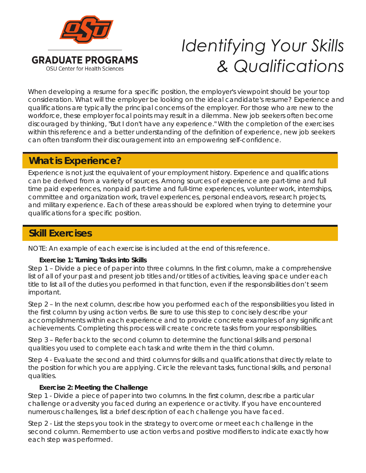

# *Identifying Your Skills & Qualifications*

When developing a resume for a specific position, the employer's viewpoint should be your top consideration. What will the employer be looking on the ideal candidate's resume? Experience and qualifications are typically the principal concerns of the employer. For those who are new to the workforce, these employer focal points may result in a dilemma. New job seekers often become discouraged by thinking, "But I don't have any experience." With the completion of the exercises within this reference and a better understanding of the definition of experience, new job seekers can often transform their discouragement into an empowering self-confidence.

# **What is Experience? What is Experience?**

Experience is not just the equivalent of your employment history. Experience and qualifications can be derived from a variety of sources. Among sources of experience are part-time and full time paid experiences, nonpaid part-time and full-time experiences, volunteer work, internships, committee and organization work, travel experiences, personal endeavors, research projects, and military experience. Each of these areas should be explored when trying to determine your qualifications for a specific position.

# **Skill Exercises Skill Exercises**

NOTE: An example of each exercise is included at the end of this reference.

### **Exercise 1: Turning Tasks into Skills**

Step 1 – Divide a piece of paper into three columns. In the first column, make a comprehensive list of all of your past and present job titles and/or titles of activities, leaving space under each title to list all of the duties you performed in that function, even if the responsibilities don't seem important.

Step 2 – In the next column, describe how you performed each of the responsibilities you listed in the first column by using action verbs. Be sure to use this step to concisely describe your accomplishments within each experience and to provide concrete examples of any significant achievements. Completing this process will create concrete tasks from your responsibilities.

Step 3 – Refer back to the second column to determine the functional skills and personal qualities you used to complete each task and write them in the third column.

Step 4 - Evaluate the second and third columns for skills and qualifications that directly relate to the position for which you are applying. Circle the relevant tasks, functional skills, and personal qualities.

### **Exercise 2: Meeting the Challenge**

Step 1 - Divide a piece of paper into two columns. In the first column, describe a particular challenge or adversity you faced during an experience or activity. If you have encountered numerous challenges, list a brief description of each challenge you have faced.

Step 2 - List the steps you took in the strategy to overcome or meet each challenge in the second column. Remember to use action verbs and positive modifiers to indicate exactly how each step was performed.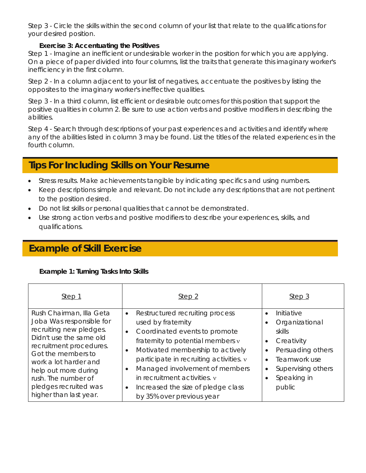Step 3 - Circle the skills within the second column of your list that relate to the qualifications for your desired position.

#### **Exercise 3: Accentuating the Positives**

Step 1 - Imagine an inefficient or undesirable worker in the position for which you are applying. On a piece of paper divided into four columns, list the traits that generate this imaginary worker's inefficiency in the first column.

Step 2 - In a column adjacent to your list of negatives, accentuate the positives by listing the opposites to the imaginary worker's ineffective qualities.

Step 3 - In a third column, list efficient or desirable outcomes for this position that support the positive qualities in column 2. Be sure to use action verbs and positive modifiers in describing the abilities.

Step 4 - Search through descriptions of your past experiences and activities and identify where any of the abilities listed in column 3 may be found. List the titles of the related experiences in the fourth column.

### **Tips for Including Skills on Your Resume Tips For Including Skills on Your Resume**

- Stress results. Make achievements tangible by indicating specifics and using numbers.
- Keep descriptions simple and relevant. Do not include any descriptions that are not pertinent to the position desired.
- Do not list skills or personal qualities that cannot be demonstrated.
- Use strong action verbs and positive modifiers to describe your experiences, skills, and qualifications.

# **Example of Skill Exercise**

### **Example 1: Turning Tasks Into Skills**

| Step 1                                                                                                                                                                                                                              | Step <sub>2</sub>                                                                                                                                                                                                                                                                                                                | Step 3                                                                                                                                                                             |
|-------------------------------------------------------------------------------------------------------------------------------------------------------------------------------------------------------------------------------------|----------------------------------------------------------------------------------------------------------------------------------------------------------------------------------------------------------------------------------------------------------------------------------------------------------------------------------|------------------------------------------------------------------------------------------------------------------------------------------------------------------------------------|
| Rush Chairman, Illa Geta<br>Joba Was responsible for<br>recruiting new pledges.<br>Didn't use the same old<br>recruitment procedures.<br>Got the members to<br>work a lot harder and<br>help out more during<br>rush. The number of | Restructured recruiting process<br>$\bullet$<br>used by fraternity<br>Coordinated events to promote<br>$\bullet$<br>fraternity to potential members v<br>Motivated membership to actively<br>$\bullet$<br>participate in recruiting activities. v<br>Managed involvement of members<br>$\bullet$<br>in recruitment activities, y | Initiative<br>$\bullet$<br>Organizational<br>skills<br>Creativity<br>$\bullet$<br>Persuading others<br>Teamwork use<br>$\bullet$<br>Supervising others<br>$\bullet$<br>Speaking in |
| pledges recruited was<br>higher than last year.                                                                                                                                                                                     | Increased the size of pledge class<br>$\bullet$<br>by 35% over previous year                                                                                                                                                                                                                                                     | public                                                                                                                                                                             |